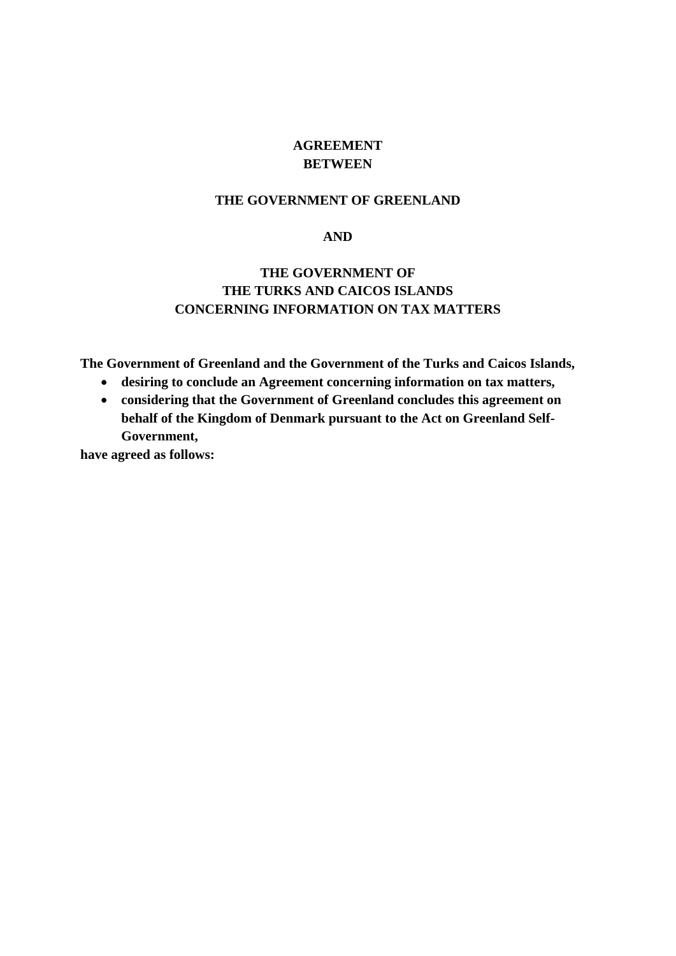# **AGREEMENT BETWEEN**

#### **THE GOVERNMENT OF GREENLAND**

#### **AND**

# **THE GOVERNMENT OF THE TURKS AND CAICOS ISLANDS CONCERNING INFORMATION ON TAX MATTERS**

**The Government of Greenland and the Government of the Turks and Caicos Islands,** 

- **desiring to conclude an Agreement concerning information on tax matters,**
- **considering that the Government of Greenland concludes this agreement on behalf of the Kingdom of Denmark pursuant to the Act on Greenland Self-Government,**

**have agreed as follows:**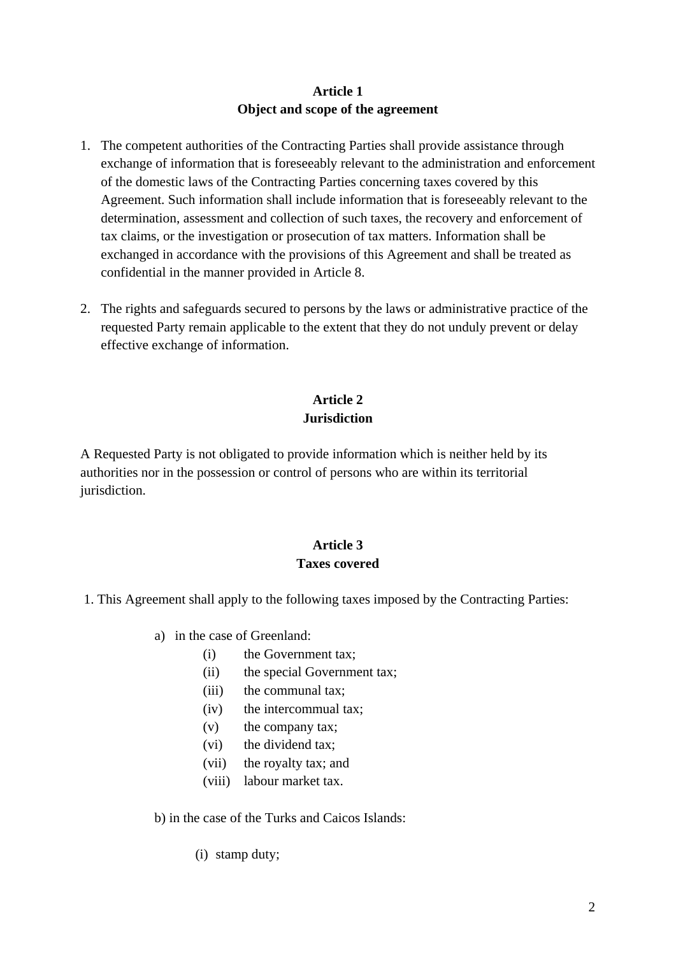### **Article 1 Object and scope of the agreement**

- 1. The competent authorities of the Contracting Parties shall provide assistance through exchange of information that is foreseeably relevant to the administration and enforcement of the domestic laws of the Contracting Parties concerning taxes covered by this Agreement. Such information shall include information that is foreseeably relevant to the determination, assessment and collection of such taxes, the recovery and enforcement of tax claims, or the investigation or prosecution of tax matters. Information shall be exchanged in accordance with the provisions of this Agreement and shall be treated as confidential in the manner provided in Article 8.
- 2. The rights and safeguards secured to persons by the laws or administrative practice of the requested Party remain applicable to the extent that they do not unduly prevent or delay effective exchange of information.

# **Article 2 Jurisdiction**

A Requested Party is not obligated to provide information which is neither held by its authorities nor in the possession or control of persons who are within its territorial jurisdiction.

# **Article 3 Taxes covered**

- 1. This Agreement shall apply to the following taxes imposed by the Contracting Parties:
	- a) in the case of Greenland:
		- (i) the Government tax;
		- (ii) the special Government tax;
		- (iii) the communal tax;
		- (iv) the intercommual tax;
		- (v) the company tax;
		- (vi) the dividend tax;
		- (vii) the royalty tax; and
		- (viii) labour market tax.
	- b) in the case of the Turks and Caicos Islands:
		- (i) stamp duty;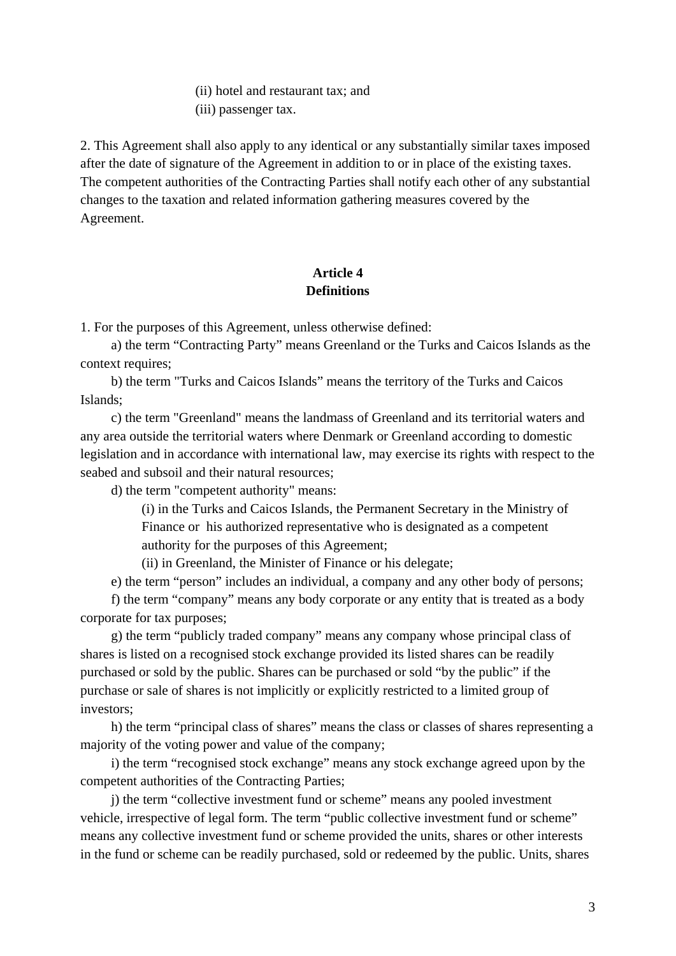(ii) hotel and restaurant tax; and (iii) passenger tax.

2. This Agreement shall also apply to any identical or any substantially similar taxes imposed after the date of signature of the Agreement in addition to or in place of the existing taxes. The competent authorities of the Contracting Parties shall notify each other of any substantial changes to the taxation and related information gathering measures covered by the Agreement.

#### **Article 4 Definitions**

1. For the purposes of this Agreement, unless otherwise defined:

a) the term "Contracting Party" means Greenland or the Turks and Caicos Islands as the context requires;

b) the term "Turks and Caicos Islands" means the territory of the Turks and Caicos Islands;

c) the term "Greenland" means the landmass of Greenland and its territorial waters and any area outside the territorial waters where Denmark or Greenland according to domestic legislation and in accordance with international law, may exercise its rights with respect to the seabed and subsoil and their natural resources;

d) the term "competent authority" means:

(i) in the Turks and Caicos Islands, the Permanent Secretary in the Ministry of Finance or his authorized representative who is designated as a competent authority for the purposes of this Agreement;

(ii) in Greenland, the Minister of Finance or his delegate;

e) the term "person" includes an individual, a company and any other body of persons;

f) the term "company" means any body corporate or any entity that is treated as a body corporate for tax purposes;

g) the term "publicly traded company" means any company whose principal class of shares is listed on a recognised stock exchange provided its listed shares can be readily purchased or sold by the public. Shares can be purchased or sold "by the public" if the purchase or sale of shares is not implicitly or explicitly restricted to a limited group of investors;

h) the term "principal class of shares" means the class or classes of shares representing a majority of the voting power and value of the company;

i) the term "recognised stock exchange" means any stock exchange agreed upon by the competent authorities of the Contracting Parties;

j) the term "collective investment fund or scheme" means any pooled investment vehicle, irrespective of legal form. The term "public collective investment fund or scheme" means any collective investment fund or scheme provided the units, shares or other interests in the fund or scheme can be readily purchased, sold or redeemed by the public. Units, shares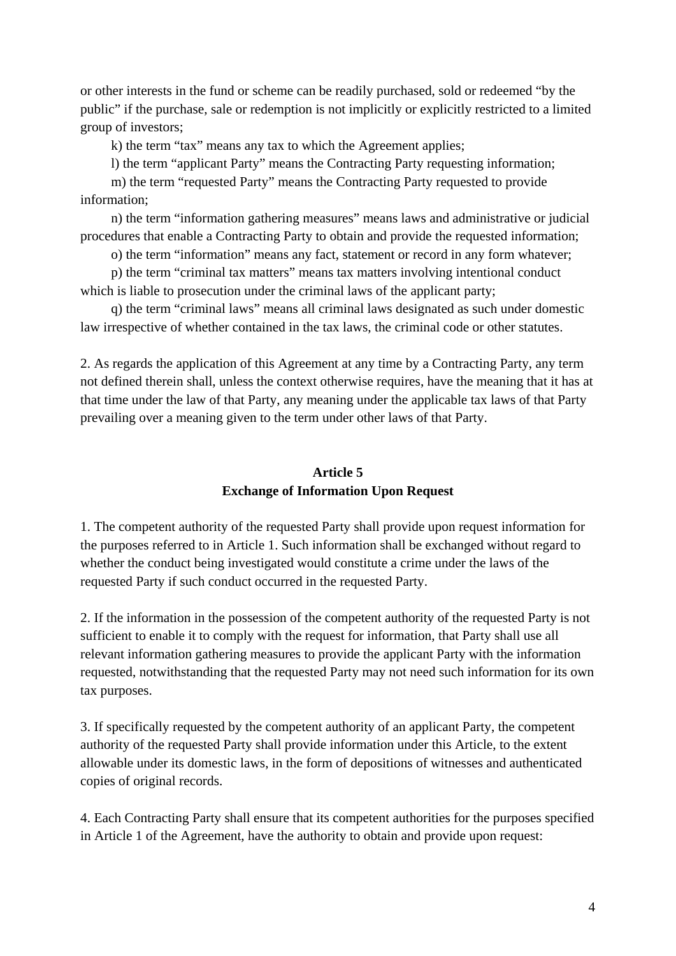or other interests in the fund or scheme can be readily purchased, sold or redeemed "by the public" if the purchase, sale or redemption is not implicitly or explicitly restricted to a limited group of investors;

k) the term "tax" means any tax to which the Agreement applies;

l) the term "applicant Party" means the Contracting Party requesting information;

m) the term "requested Party" means the Contracting Party requested to provide information;

n) the term "information gathering measures" means laws and administrative or judicial procedures that enable a Contracting Party to obtain and provide the requested information;

o) the term "information" means any fact, statement or record in any form whatever;

p) the term "criminal tax matters" means tax matters involving intentional conduct which is liable to prosecution under the criminal laws of the applicant party;

q) the term "criminal laws" means all criminal laws designated as such under domestic law irrespective of whether contained in the tax laws, the criminal code or other statutes.

2. As regards the application of this Agreement at any time by a Contracting Party, any term not defined therein shall, unless the context otherwise requires, have the meaning that it has at that time under the law of that Party, any meaning under the applicable tax laws of that Party prevailing over a meaning given to the term under other laws of that Party.

### **Article 5 Exchange of Information Upon Request**

1. The competent authority of the requested Party shall provide upon request information for the purposes referred to in Article 1. Such information shall be exchanged without regard to whether the conduct being investigated would constitute a crime under the laws of the requested Party if such conduct occurred in the requested Party.

2. If the information in the possession of the competent authority of the requested Party is not sufficient to enable it to comply with the request for information, that Party shall use all relevant information gathering measures to provide the applicant Party with the information requested, notwithstanding that the requested Party may not need such information for its own tax purposes.

3. If specifically requested by the competent authority of an applicant Party, the competent authority of the requested Party shall provide information under this Article, to the extent allowable under its domestic laws, in the form of depositions of witnesses and authenticated copies of original records.

4. Each Contracting Party shall ensure that its competent authorities for the purposes specified in Article 1 of the Agreement, have the authority to obtain and provide upon request: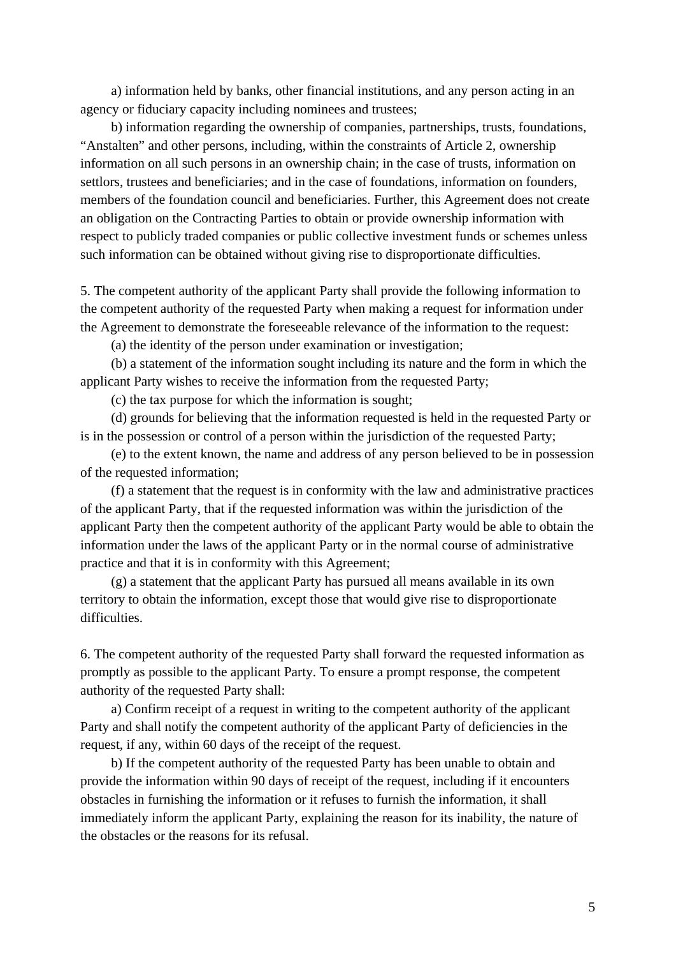a) information held by banks, other financial institutions, and any person acting in an agency or fiduciary capacity including nominees and trustees;

b) information regarding the ownership of companies, partnerships, trusts, foundations, "Anstalten" and other persons, including, within the constraints of Article 2, ownership information on all such persons in an ownership chain; in the case of trusts, information on settlors, trustees and beneficiaries; and in the case of foundations, information on founders, members of the foundation council and beneficiaries. Further, this Agreement does not create an obligation on the Contracting Parties to obtain or provide ownership information with respect to publicly traded companies or public collective investment funds or schemes unless such information can be obtained without giving rise to disproportionate difficulties.

5. The competent authority of the applicant Party shall provide the following information to the competent authority of the requested Party when making a request for information under the Agreement to demonstrate the foreseeable relevance of the information to the request:

(a) the identity of the person under examination or investigation;

(b) a statement of the information sought including its nature and the form in which the applicant Party wishes to receive the information from the requested Party;

(c) the tax purpose for which the information is sought;

(d) grounds for believing that the information requested is held in the requested Party or is in the possession or control of a person within the jurisdiction of the requested Party;

(e) to the extent known, the name and address of any person believed to be in possession of the requested information;

(f) a statement that the request is in conformity with the law and administrative practices of the applicant Party, that if the requested information was within the jurisdiction of the applicant Party then the competent authority of the applicant Party would be able to obtain the information under the laws of the applicant Party or in the normal course of administrative practice and that it is in conformity with this Agreement;

(g) a statement that the applicant Party has pursued all means available in its own territory to obtain the information, except those that would give rise to disproportionate difficulties.

6. The competent authority of the requested Party shall forward the requested information as promptly as possible to the applicant Party. To ensure a prompt response, the competent authority of the requested Party shall:

a) Confirm receipt of a request in writing to the competent authority of the applicant Party and shall notify the competent authority of the applicant Party of deficiencies in the request, if any, within 60 days of the receipt of the request.

b) If the competent authority of the requested Party has been unable to obtain and provide the information within 90 days of receipt of the request, including if it encounters obstacles in furnishing the information or it refuses to furnish the information, it shall immediately inform the applicant Party, explaining the reason for its inability, the nature of the obstacles or the reasons for its refusal.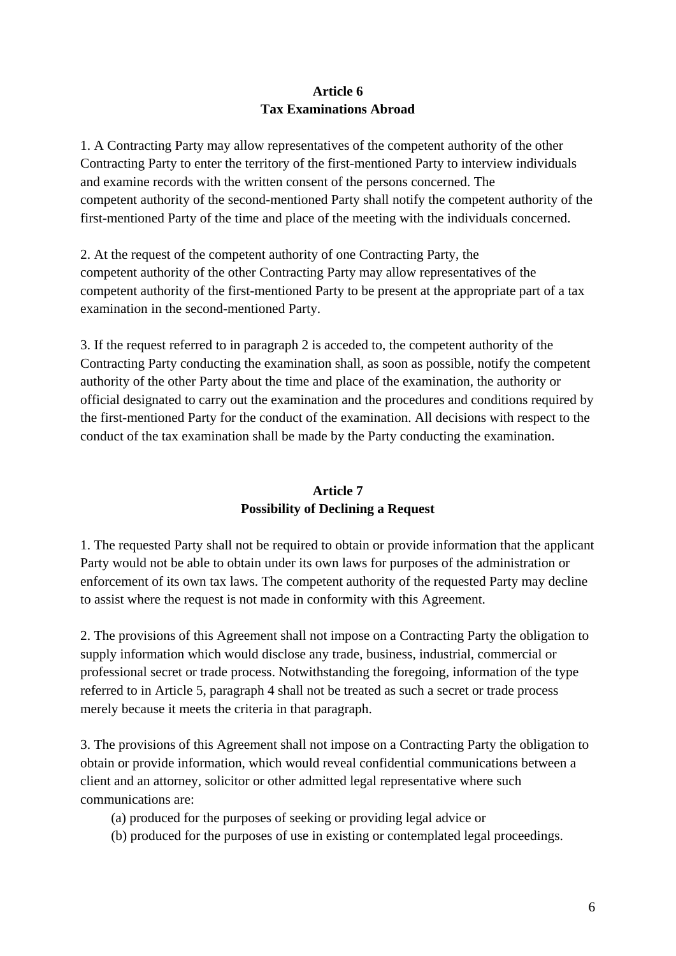## **Article 6 Tax Examinations Abroad**

1. A Contracting Party may allow representatives of the competent authority of the other Contracting Party to enter the territory of the first-mentioned Party to interview individuals and examine records with the written consent of the persons concerned. The competent authority of the second-mentioned Party shall notify the competent authority of the first-mentioned Party of the time and place of the meeting with the individuals concerned.

2. At the request of the competent authority of one Contracting Party, the competent authority of the other Contracting Party may allow representatives of the competent authority of the first-mentioned Party to be present at the appropriate part of a tax examination in the second-mentioned Party.

3. If the request referred to in paragraph 2 is acceded to, the competent authority of the Contracting Party conducting the examination shall, as soon as possible, notify the competent authority of the other Party about the time and place of the examination, the authority or official designated to carry out the examination and the procedures and conditions required by the first-mentioned Party for the conduct of the examination. All decisions with respect to the conduct of the tax examination shall be made by the Party conducting the examination.

# **Article 7 Possibility of Declining a Request**

1. The requested Party shall not be required to obtain or provide information that the applicant Party would not be able to obtain under its own laws for purposes of the administration or enforcement of its own tax laws. The competent authority of the requested Party may decline to assist where the request is not made in conformity with this Agreement.

2. The provisions of this Agreement shall not impose on a Contracting Party the obligation to supply information which would disclose any trade, business, industrial, commercial or professional secret or trade process. Notwithstanding the foregoing, information of the type referred to in Article 5, paragraph 4 shall not be treated as such a secret or trade process merely because it meets the criteria in that paragraph.

3. The provisions of this Agreement shall not impose on a Contracting Party the obligation to obtain or provide information, which would reveal confidential communications between a client and an attorney, solicitor or other admitted legal representative where such communications are:

(a) produced for the purposes of seeking or providing legal advice or

(b) produced for the purposes of use in existing or contemplated legal proceedings.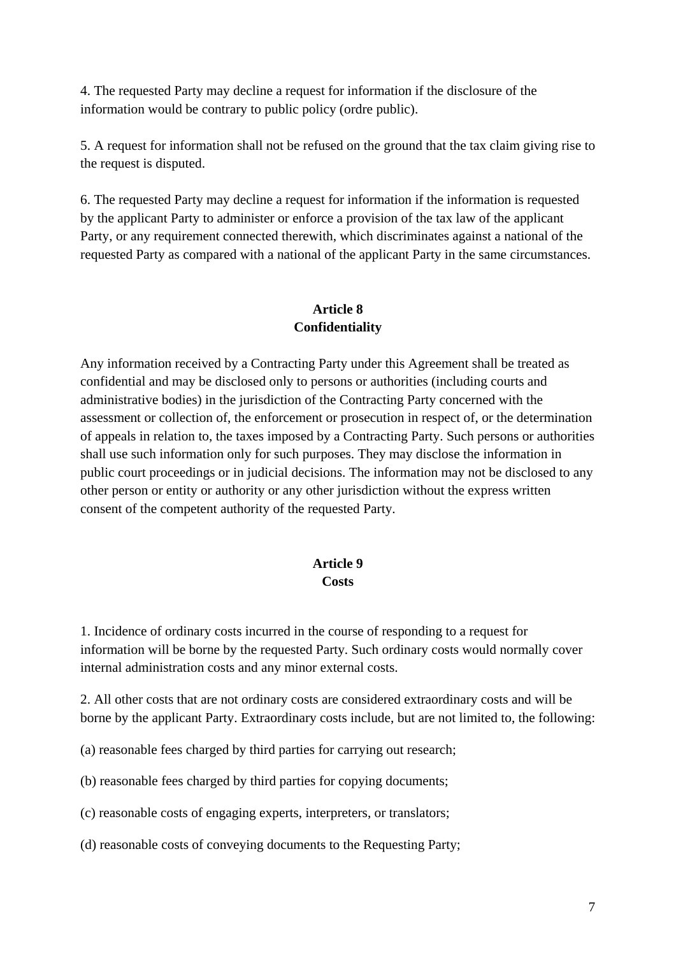4. The requested Party may decline a request for information if the disclosure of the information would be contrary to public policy (ordre public).

5. A request for information shall not be refused on the ground that the tax claim giving rise to the request is disputed.

6. The requested Party may decline a request for information if the information is requested by the applicant Party to administer or enforce a provision of the tax law of the applicant Party, or any requirement connected therewith, which discriminates against a national of the requested Party as compared with a national of the applicant Party in the same circumstances.

# **Article 8 Confidentiality**

Any information received by a Contracting Party under this Agreement shall be treated as confidential and may be disclosed only to persons or authorities (including courts and administrative bodies) in the jurisdiction of the Contracting Party concerned with the assessment or collection of, the enforcement or prosecution in respect of, or the determination of appeals in relation to, the taxes imposed by a Contracting Party. Such persons or authorities shall use such information only for such purposes. They may disclose the information in public court proceedings or in judicial decisions. The information may not be disclosed to any other person or entity or authority or any other jurisdiction without the express written consent of the competent authority of the requested Party.

### **Article 9 Costs**

1. Incidence of ordinary costs incurred in the course of responding to a request for information will be borne by the requested Party. Such ordinary costs would normally cover internal administration costs and any minor external costs.

2. All other costs that are not ordinary costs are considered extraordinary costs and will be borne by the applicant Party. Extraordinary costs include, but are not limited to, the following:

(a) reasonable fees charged by third parties for carrying out research;

(b) reasonable fees charged by third parties for copying documents;

(c) reasonable costs of engaging experts, interpreters, or translators;

(d) reasonable costs of conveying documents to the Requesting Party;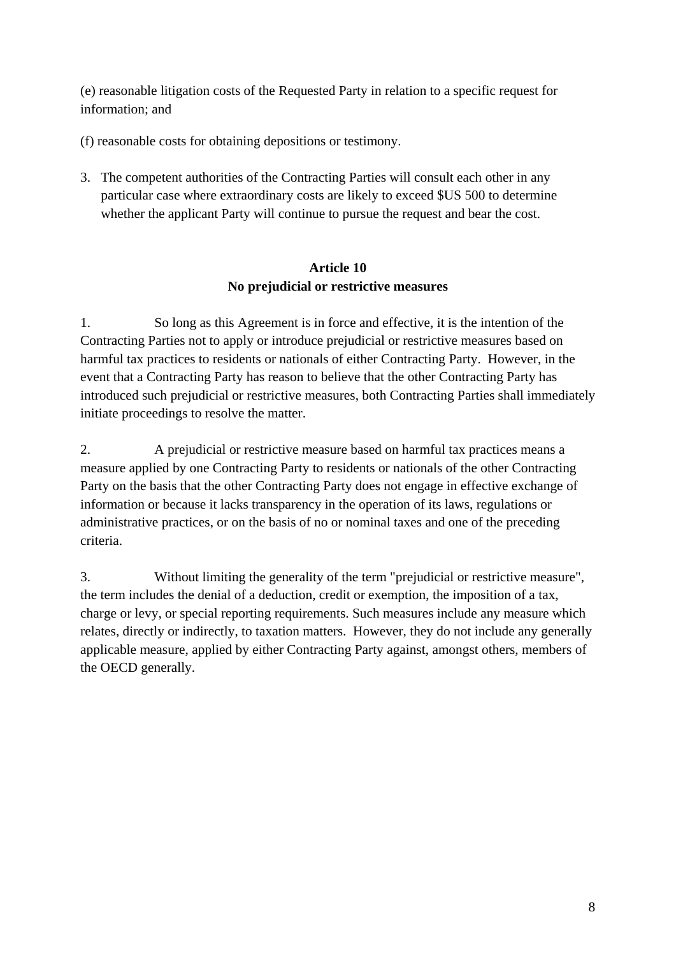(e) reasonable litigation costs of the Requested Party in relation to a specific request for information; and

(f) reasonable costs for obtaining depositions or testimony.

3. The competent authorities of the Contracting Parties will consult each other in any particular case where extraordinary costs are likely to exceed \$US 500 to determine whether the applicant Party will continue to pursue the request and bear the cost.

### **Article 10 No prejudicial or restrictive measures**

1. So long as this Agreement is in force and effective, it is the intention of the Contracting Parties not to apply or introduce prejudicial or restrictive measures based on harmful tax practices to residents or nationals of either Contracting Party. However, in the event that a Contracting Party has reason to believe that the other Contracting Party has introduced such prejudicial or restrictive measures, both Contracting Parties shall immediately initiate proceedings to resolve the matter.

2. A prejudicial or restrictive measure based on harmful tax practices means a measure applied by one Contracting Party to residents or nationals of the other Contracting Party on the basis that the other Contracting Party does not engage in effective exchange of information or because it lacks transparency in the operation of its laws, regulations or administrative practices, or on the basis of no or nominal taxes and one of the preceding criteria.

3. Without limiting the generality of the term "prejudicial or restrictive measure", the term includes the denial of a deduction, credit or exemption, the imposition of a tax, charge or levy, or special reporting requirements. Such measures include any measure which relates, directly or indirectly, to taxation matters. However, they do not include any generally applicable measure, applied by either Contracting Party against, amongst others, members of the OECD generally.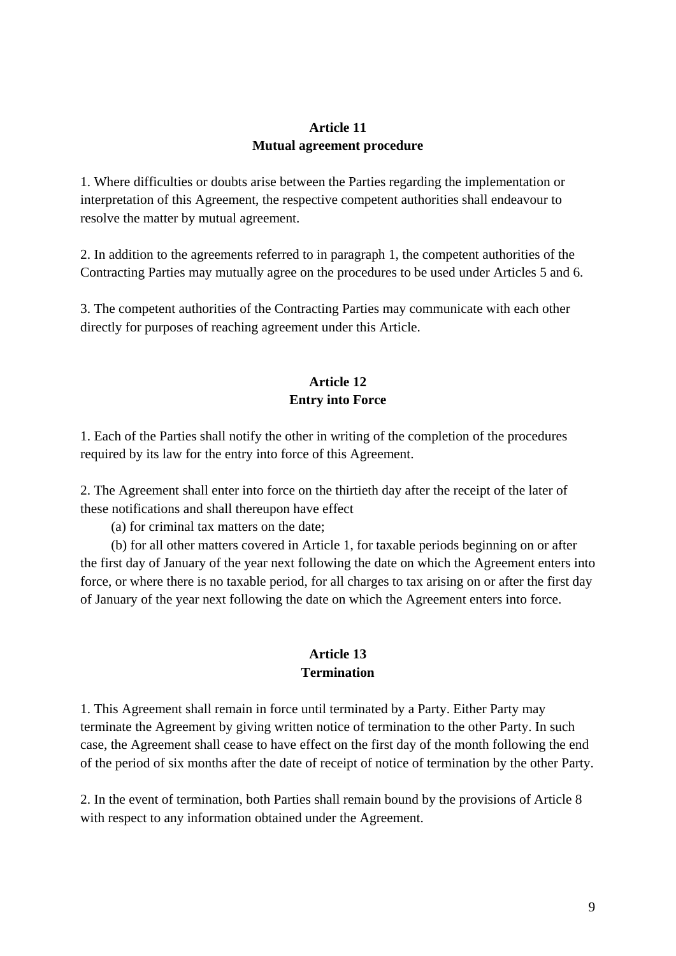#### **Article 11 Mutual agreement procedure**

1. Where difficulties or doubts arise between the Parties regarding the implementation or interpretation of this Agreement, the respective competent authorities shall endeavour to resolve the matter by mutual agreement.

2. In addition to the agreements referred to in paragraph 1, the competent authorities of the Contracting Parties may mutually agree on the procedures to be used under Articles 5 and 6.

3. The competent authorities of the Contracting Parties may communicate with each other directly for purposes of reaching agreement under this Article.

# **Article 12 Entry into Force**

1. Each of the Parties shall notify the other in writing of the completion of the procedures required by its law for the entry into force of this Agreement.

2. The Agreement shall enter into force on the thirtieth day after the receipt of the later of these notifications and shall thereupon have effect

(a) for criminal tax matters on the date;

(b) for all other matters covered in Article 1, for taxable periods beginning on or after the first day of January of the year next following the date on which the Agreement enters into force, or where there is no taxable period, for all charges to tax arising on or after the first day of January of the year next following the date on which the Agreement enters into force.

# **Article 13 Termination**

1. This Agreement shall remain in force until terminated by a Party. Either Party may terminate the Agreement by giving written notice of termination to the other Party. In such case, the Agreement shall cease to have effect on the first day of the month following the end of the period of six months after the date of receipt of notice of termination by the other Party.

2. In the event of termination, both Parties shall remain bound by the provisions of Article 8 with respect to any information obtained under the Agreement.